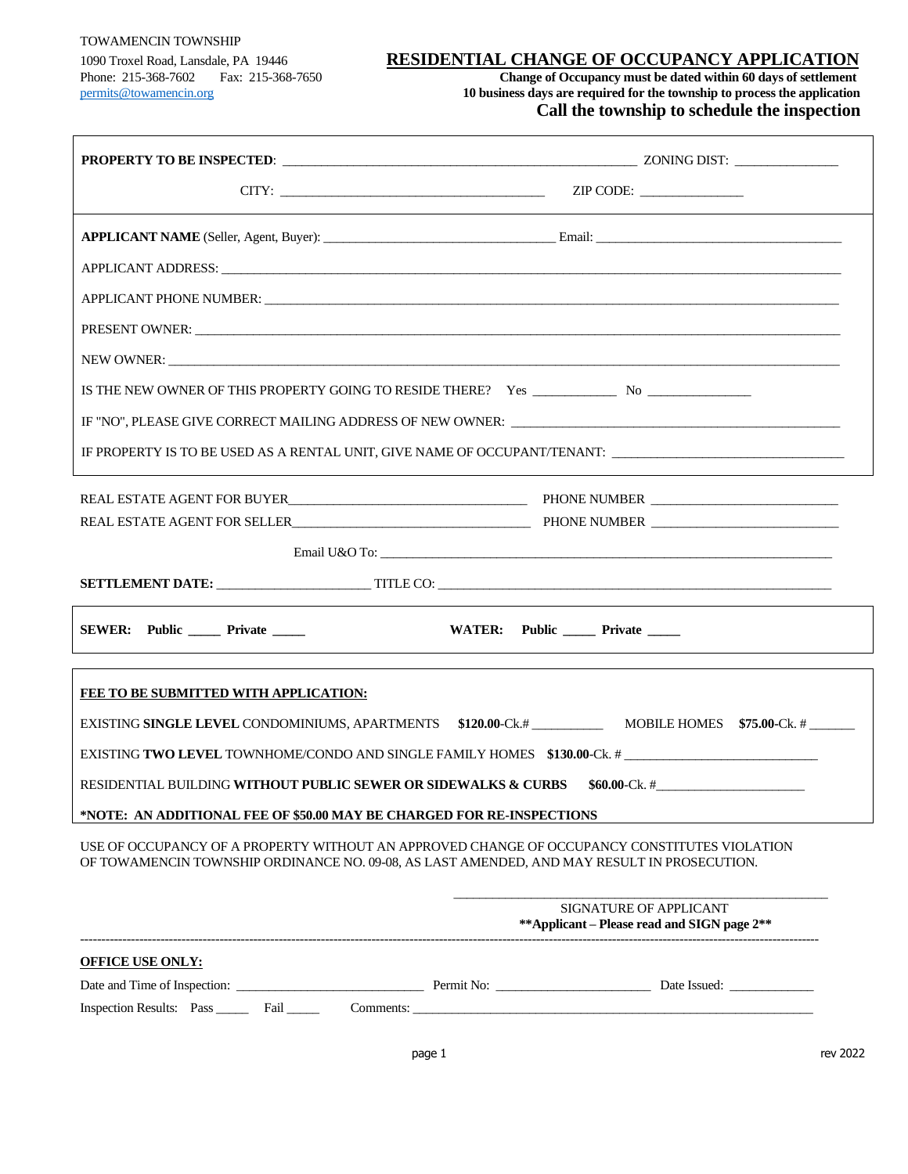#### TOWAMENCIN TOWNSHIP

#### 1090 Troxel Road, Lansdale, PA 19446 **RESIDENTIAL CHANGE OF OCCUPANCY APPLICATION**

Phone: 215-368-7602 Fax: 215-368-7650 **Change of Occupancy must be dated within 60 days of settlement** [permits@towamencin.org](mailto:permits@towamencin.org) **10 business days are required for the township to process the application Call the township to schedule the inspection**

| $CITY:$ $ZIP \text{ CODE:}$                                                                                                                                                                                                                                     |                                   |
|-----------------------------------------------------------------------------------------------------------------------------------------------------------------------------------------------------------------------------------------------------------------|-----------------------------------|
| APPLICANT NAME (Seller, Agent, Buyer): Email: Email: Email:                                                                                                                                                                                                     |                                   |
|                                                                                                                                                                                                                                                                 |                                   |
|                                                                                                                                                                                                                                                                 |                                   |
|                                                                                                                                                                                                                                                                 |                                   |
|                                                                                                                                                                                                                                                                 |                                   |
|                                                                                                                                                                                                                                                                 |                                   |
| IF "NO", PLEASE GIVE CORRECT MAILING ADDRESS OF NEW OWNER: ______________________                                                                                                                                                                               |                                   |
| IF PROPERTY IS TO BE USED AS A RENTAL UNIT, GIVE NAME OF OCCUPANT/TENANT: __________________________                                                                                                                                                            |                                   |
|                                                                                                                                                                                                                                                                 |                                   |
| REAL ESTATE AGENT FOR SELLER CONTRACTED AND PHONE NUMBER CONTRACTED AND REAL ESTATE AGENT FOR SELLER                                                                                                                                                            |                                   |
|                                                                                                                                                                                                                                                                 |                                   |
| SETTLEMENT DATE: TITLE CO: TITLE CO: TITLE CO: TITLE CO: TITLE CO: TITLE CO: TITLE CO: TITLE CO: TITLE CO: TITLE CO: TITLE CO: TITLE CO: TITLE CO: TITLE CO: TITLE CO: TITLE CO: TITLE CO: TITLE CO: TITLE CO: TITLE CO: TITLE                                  |                                   |
| SEWER: Public _______ Private ______                                                                                                                                                                                                                            | WATER: Public _____ Private _____ |
| FEE TO BE SUBMITTED WITH APPLICATION:                                                                                                                                                                                                                           |                                   |
|                                                                                                                                                                                                                                                                 |                                   |
| EXISTING TWO LEVEL TOWNHOME/CONDO AND SINGLE FAMILY HOMES \$130.00-Ck. #                                                                                                                                                                                        |                                   |
| <b>RESIDENTIAL BUILDING WITHOUT PUBLIC SEWER OR SIDEWALKS &amp; CURBS</b><br>$$60.00\text{-Ck.}~\#$                                                                                                                                                             |                                   |
| *NOTE: AN ADDITIONAL FEE OF \$50.00 MAY BE CHARGED FOR RE-INSPECTIONS                                                                                                                                                                                           |                                   |
| USE OF OCCUPANCY OF A PROPERTY WITHOUT AN APPROVED CHANGE OF OCCUPANCY CONSTITUTES VIOLATION<br>OF TOWAMENCIN TOWNSHIP ORDINANCE NO. 09-08, AS LAST AMENDED, AND MAY RESULT IN PROSECUTION.                                                                     |                                   |
| <b>SIGNATURE OF APPLICANT</b><br>**Applicant – Please read and SIGN page 2**                                                                                                                                                                                    |                                   |
| <b>OFFICE USE ONLY:</b>                                                                                                                                                                                                                                         |                                   |
|                                                                                                                                                                                                                                                                 |                                   |
| Inspection Results: Pass Fail<br>Comments: experience of the contract of the contract of the contract of the contract of the contract of the contract of the contract of the contract of the contract of the contract of the contract of the contract of the co |                                   |